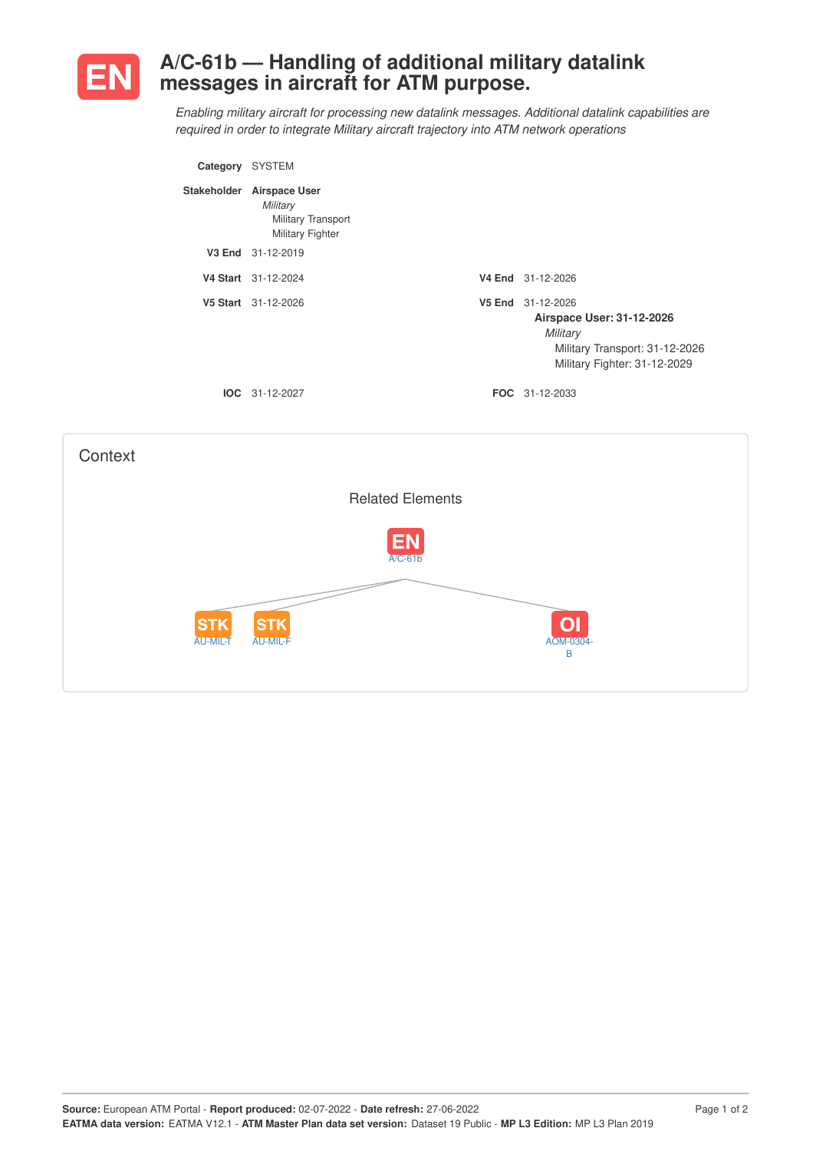

## **A/C-61b — Handling of additional military datalink messages in aircraft for ATM purpose.**

*Enabling military aircraft for processing new datalink messages. Additional datalink capabilities are required in order to integrate Military aircraft trajectory into ATM network operations*

| Category | <b>SYSTEM</b>                                                                          |        |                                                                                                                       |
|----------|----------------------------------------------------------------------------------------|--------|-----------------------------------------------------------------------------------------------------------------------|
|          | Stakeholder Airspace User<br>Military<br>Military Transport<br><b>Military Fighter</b> |        |                                                                                                                       |
|          | V3 End 31-12-2019                                                                      |        |                                                                                                                       |
|          | V4 Start 31-12-2024                                                                    |        | V4 End 31-12-2026                                                                                                     |
|          | V5 Start 31-12-2026                                                                    | V5 End | 31-12-2026<br>Airspace User: 31-12-2026<br>Military<br>Military Transport: 31-12-2026<br>Military Fighter: 31-12-2029 |
|          | $IOC 31-12-2027$                                                                       |        | <b>FOC</b> 31-12-2033                                                                                                 |